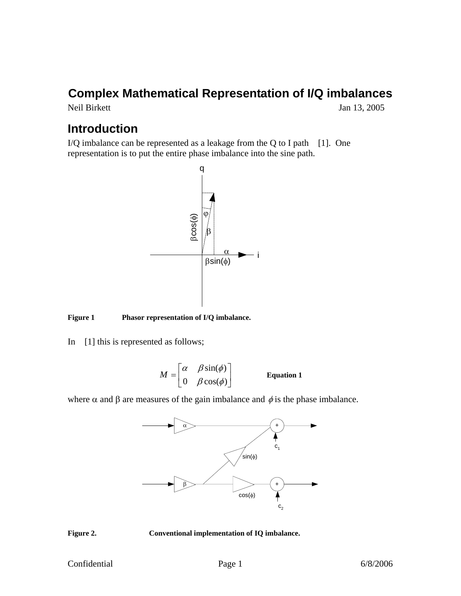# **Complex Mathematical Representation of I/Q imbalances**

Neil Birkett Jan 13, 2005

## **Introduction**

I/Q imbalance can be represented as a leakage from the Q to I path [1]. One representation is to put the entire phase imbalance into the sine path.



#### **Figure 1 Phasor representation of I/Q imbalance.**

In [1] this is represented as follows;

$$
M = \begin{bmatrix} \alpha & \beta \sin(\phi) \\ 0 & \beta \cos(\phi) \end{bmatrix}
$$
 Equation 1

where  $\alpha$  and  $\beta$  are measures of the gain imbalance and  $\phi$  is the phase imbalance.





**Figure 2. Conventional implementation of IQ imbalance.**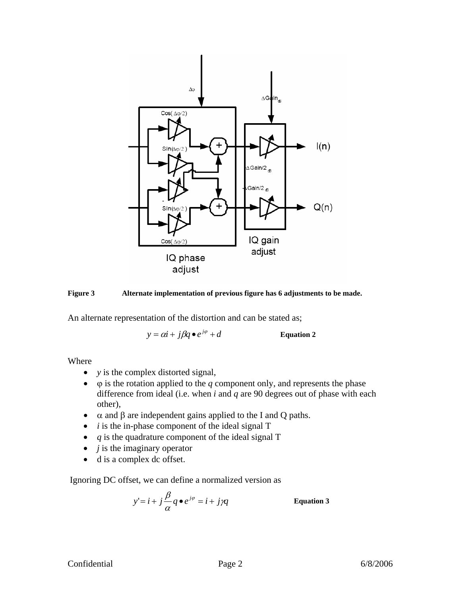



An alternate representation of the distortion and can be stated as;

 $y = \alpha i + j\beta q \bullet e^{j\varphi} + d$  Equation 2

Where

- *y* is the complex distorted signal,
- $\bullet$   $\varphi$  is the rotation applied to the *q* component only, and represents the phase difference from ideal (i.e. when *i* and *q* are 90 degrees out of phase with each other),
- $\alpha$  and β are independent gains applied to the I and Q paths.
- *i* is the in-phase component of the ideal signal T
- *q* is the quadrature component of the ideal signal T
- *j* is the imaginary operator
- d is a complex dc offset.

Ignoring DC offset, we can define a normalized version as

$$
y'=i+j\frac{\beta}{\alpha}q\bullet e^{j\varphi}=i+j\gamma q
$$
 Equation 3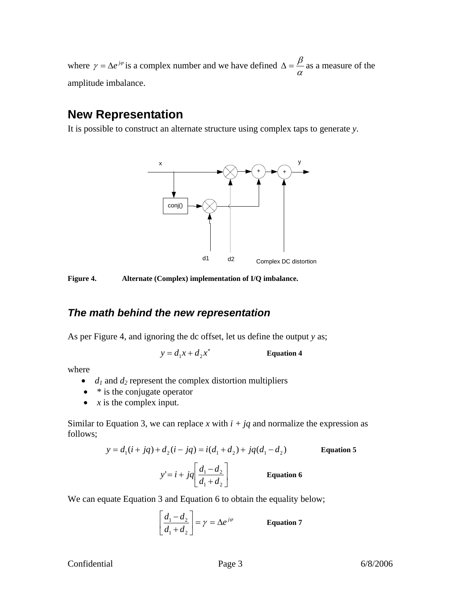where  $\gamma = \Delta e^{j\varphi}$  is a complex number and we have defined  $\Delta = \frac{\beta}{\alpha}$  as a measure of the amplitude imbalance.

### **New Representation**

It is possible to construct an alternate structure using complex taps to generate *y*.



**Figure 4. Alternate (Complex) implementation of I/Q imbalance.** 

#### *The math behind the new representation*

As per Figure 4, and ignoring the dc offset, let us define the output *y* as;

 $y = d_1 x + d_2 x^*$  **Equation 4** 

where

- $\bullet$  *d<sub>1</sub>* and *d<sub>2</sub>* represent the complex distortion multipliers
- \* is the conjugate operator
- $x$  is the complex input.

Similar to Equation 3, we can replace *x* with  $i + ja$  and normalize the expression as follows;

$$
y = d_1(i + jq) + d_2(i - jq) = i(d_1 + d_2) + jq(d_1 - d_2)
$$
 Equation 5  

$$
y' = i + jq \left[ \frac{d_1 - d_2}{d_1 + d_2} \right]
$$
 Equation 6

We can equate Equation 3 and Equation 6 to obtain the equality below;

$$
\left[\frac{d_1 - d_2}{d_1 + d_2}\right] = \gamma = \Delta e^{j\varphi}
$$
 Equation 7

#### Confidential Page 3 6/8/2006